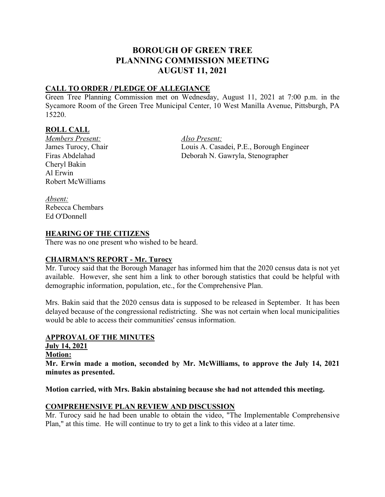# **BOROUGH OF GREEN TREE PLANNING COMMISSION MEETING AUGUST 11, 2021**

### **CALL TO ORDER / PLEDGE OF ALLEGIANCE**

Green Tree Planning Commission met on Wednesday, August 11, 2021 at 7:00 p.m. in the Sycamore Room of the Green Tree Municipal Center, 10 West Manilla Avenue, Pittsburgh, PA 15220.

## **ROLL CALL**

*Members Present: Also Present:*  Cheryl Bakin Al Erwin Robert McWilliams

Louis A. Casadei, P.E., Borough Engineer Firas Abdelahad Deborah N. Gawryla, Stenographer

*Absent:* Rebecca Chembars Ed O'Donnell

#### **HEARING OF THE CITIZENS**

There was no one present who wished to be heard.

#### **CHAIRMAN'S REPORT - Mr. Turocy**

Mr. Turocy said that the Borough Manager has informed him that the 2020 census data is not yet available. However, she sent him a link to other borough statistics that could be helpful with demographic information, population, etc., for the Comprehensive Plan.

Mrs. Bakin said that the 2020 census data is supposed to be released in September. It has been delayed because of the congressional redistricting. She was not certain when local municipalities would be able to access their communities' census information.

#### **APPROVAL OF THE MINUTES**

- **July 14, 2021**
- **Motion:**

**Mr. Erwin made a motion, seconded by Mr. McWilliams, to approve the July 14, 2021 minutes as presented.**

**Motion carried, with Mrs. Bakin abstaining because she had not attended this meeting.** 

#### **COMPREHENSIVE PLAN REVIEW AND DISCUSSION**

Mr. Turocy said he had been unable to obtain the video, "The Implementable Comprehensive Plan," at this time. He will continue to try to get a link to this video at a later time.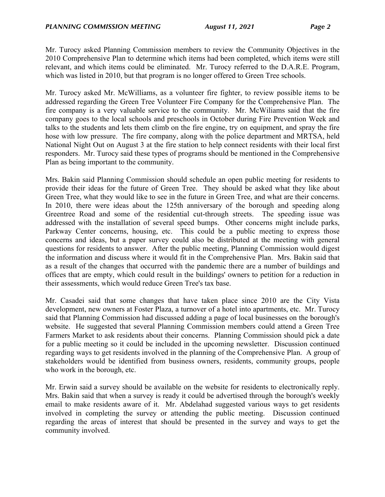Mr. Turocy asked Planning Commission members to review the Community Objectives in the 2010 Comprehensive Plan to determine which items had been completed, which items were still relevant, and which items could be eliminated. Mr. Turocy referred to the D.A.R.E. Program, which was listed in 2010, but that program is no longer offered to Green Tree schools.

Mr. Turocy asked Mr. McWilliams, as a volunteer fire fighter, to review possible items to be addressed regarding the Green Tree Volunteer Fire Company for the Comprehensive Plan. The fire company is a very valuable service to the community. Mr. McWiliams said that the fire company goes to the local schools and preschools in October during Fire Prevention Week and talks to the students and lets them climb on the fire engine, try on equipment, and spray the fire hose with low pressure. The fire company, along with the police department and MRTSA, held National Night Out on August 3 at the fire station to help connect residents with their local first responders. Mr. Turocy said these types of programs should be mentioned in the Comprehensive Plan as being important to the community.

Mrs. Bakin said Planning Commission should schedule an open public meeting for residents to provide their ideas for the future of Green Tree. They should be asked what they like about Green Tree, what they would like to see in the future in Green Tree, and what are their concerns. In 2010, there were ideas about the 125th anniversary of the borough and speeding along Greentree Road and some of the residential cut-through streets. The speeding issue was addressed with the installation of several speed bumps. Other concerns might include parks, Parkway Center concerns, housing, etc. This could be a public meeting to express those concerns and ideas, but a paper survey could also be distributed at the meeting with general questions for residents to answer. After the public meeting, Planning Commission would digest the information and discuss where it would fit in the Comprehensive Plan. Mrs. Bakin said that as a result of the changes that occurred with the pandemic there are a number of buildings and offices that are empty, which could result in the buildings' owners to petition for a reduction in their assessments, which would reduce Green Tree's tax base.

Mr. Casadei said that some changes that have taken place since 2010 are the City Vista development, new owners at Foster Plaza, a turnover of a hotel into apartments, etc. Mr. Turocy said that Planning Commission had discussed adding a page of local businesses on the borough's website. He suggested that several Planning Commission members could attend a Green Tree Farmers Market to ask residents about their concerns. Planning Commission should pick a date for a public meeting so it could be included in the upcoming newsletter. Discussion continued regarding ways to get residents involved in the planning of the Comprehensive Plan. A group of stakeholders would be identified from business owners, residents, community groups, people who work in the borough, etc.

Mr. Erwin said a survey should be available on the website for residents to electronically reply. Mrs. Bakin said that when a survey is ready it could be advertised through the borough's weekly email to make residents aware of it. Mr. Abdelahad suggested various ways to get residents involved in completing the survey or attending the public meeting. Discussion continued regarding the areas of interest that should be presented in the survey and ways to get the community involved.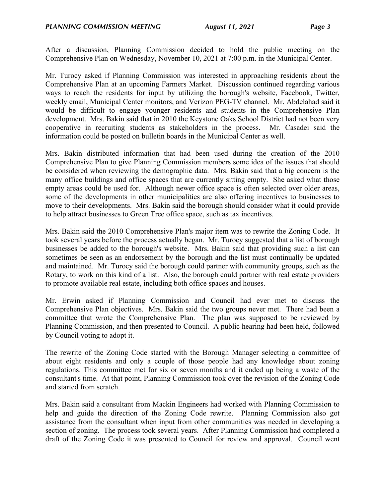After a discussion, Planning Commission decided to hold the public meeting on the Comprehensive Plan on Wednesday, November 10, 2021 at 7:00 p.m. in the Municipal Center.

Mr. Turocy asked if Planning Commission was interested in approaching residents about the Comprehensive Plan at an upcoming Farmers Market. Discussion continued regarding various ways to reach the residents for input by utilizing the borough's website, Facebook, Twitter, weekly email, Municipal Center monitors, and Verizon PEG-TV channel. Mr. Abdelahad said it would be difficult to engage younger residents and students in the Comprehensive Plan development. Mrs. Bakin said that in 2010 the Keystone Oaks School District had not been very cooperative in recruiting students as stakeholders in the process. Mr. Casadei said the information could be posted on bulletin boards in the Municipal Center as well.

Mrs. Bakin distributed information that had been used during the creation of the 2010 Comprehensive Plan to give Planning Commission members some idea of the issues that should be considered when reviewing the demographic data. Mrs. Bakin said that a big concern is the many office buildings and office spaces that are currently sitting empty. She asked what those empty areas could be used for. Although newer office space is often selected over older areas, some of the developments in other municipalities are also offering incentives to businesses to move to their developments. Mrs. Bakin said the borough should consider what it could provide to help attract businesses to Green Tree office space, such as tax incentives.

Mrs. Bakin said the 2010 Comprehensive Plan's major item was to rewrite the Zoning Code. It took several years before the process actually began. Mr. Turocy suggested that a list of borough businesses be added to the borough's website. Mrs. Bakin said that providing such a list can sometimes be seen as an endorsement by the borough and the list must continually be updated and maintained. Mr. Turocy said the borough could partner with community groups, such as the Rotary, to work on this kind of a list. Also, the borough could partner with real estate providers to promote available real estate, including both office spaces and houses.

Mr. Erwin asked if Planning Commission and Council had ever met to discuss the Comprehensive Plan objectives. Mrs. Bakin said the two groups never met. There had been a committee that wrote the Comprehensive Plan. The plan was supposed to be reviewed by Planning Commission, and then presented to Council. A public hearing had been held, followed by Council voting to adopt it.

The rewrite of the Zoning Code started with the Borough Manager selecting a committee of about eight residents and only a couple of those people had any knowledge about zoning regulations. This committee met for six or seven months and it ended up being a waste of the consultant's time. At that point, Planning Commission took over the revision of the Zoning Code and started from scratch.

Mrs. Bakin said a consultant from Mackin Engineers had worked with Planning Commission to help and guide the direction of the Zoning Code rewrite. Planning Commission also got assistance from the consultant when input from other communities was needed in developing a section of zoning. The process took several years. After Planning Commission had completed a draft of the Zoning Code it was presented to Council for review and approval. Council went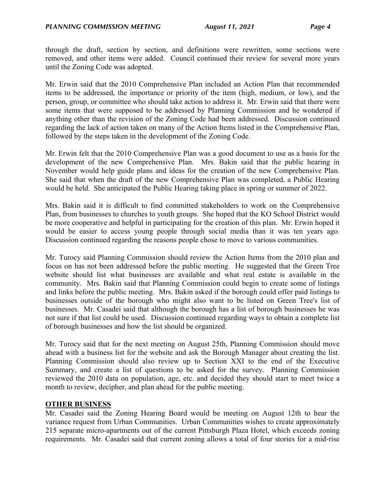through the draft, section by section, and definitions were rewritten, some sections were removed, and other items were added. Council continued their review for several more years until the Zoning Code was adopted.

Mr. Erwin said that the 2010 Comprehensive Plan included an Action Plan that recommended items to be addressed, the importance or priority of the item (high, medium, or low), and the person, group, or committee who should take action to address it. Mr. Erwin said that there were some items that were supposed to be addressed by Planning Commission and he wondered if anything other than the revision of the Zoning Code had been addressed. Discussion continued regarding the lack of action taken on many of the Action Items listed in the Comprehensive Plan, followed by the steps taken in the development of the Zoning Code.

Mr. Erwin felt that the 2010 Comprehensive Plan was a good document to use as a basis for the development of the new Comprehensive Plan. Mrs. Bakin said that the public hearing in November would help guide plans and ideas for the creation of the new Comprehensive Plan. She said that when the draft of the new Comprehensive Plan was completed, a Public Hearing would be held. She anticipated the Public Hearing taking place in spring or summer of 2022.

Mrs. Bakin said it is difficult to find committed stakeholders to work on the Comprehensive Plan, from businesses to churches to youth groups. She hoped that the KO School District would be more cooperative and helpful in participating for the creation of this plan. Mr. Erwin hoped it would be easier to access young people through social media than it was ten years ago. Discussion continued regarding the reasons people chose to move to various communities.

Mr. Turocy said Planning Commission should review the Action Items from the 2010 plan and focus on has not been addressed before the public meeting. He suggested that the Green Tree website should list what businesses are available and what real estate is available in the community. Mrs. Bakin said that Planning Commission could begin to create some of listings and links before the public meeting. Mrs. Bakin asked if the borough could offer paid listings to businesses outside of the borough who might also want to be listed on Green Tree's list of businesses. Mr. Casadei said that although the borough has a list of borough businesses he was not sure if that list could be used. Discussion continued regarding ways to obtain a complete list of borough businesses and how the list should be organized.

Mr. Turocy said that for the next meeting on August 25th, Planning Commission should move ahead with a business list for the website and ask the Borough Manager about creating the list. Planning Commission should also review up to Section XXI to the end of the Executive Summary, and create a list of questions to be asked for the survey. Planning Commission reviewed the 2010 data on population, age, etc. and decided they should start to meet twice a month to review, decipher, and plan ahead for the public meeting.

#### **OTHER BUSINESS**

Mr. Casadei said the Zoning Hearing Board would be meeting on August 12th to hear the variance request from Urban Communities. Urban Communities wishes to create approximately 215 separate micro-apartments out of the current Pittsburgh Plaza Hotel, which exceeds zoning requirements. Mr. Casadei said that current zoning allows a total of four stories for a mid-rise